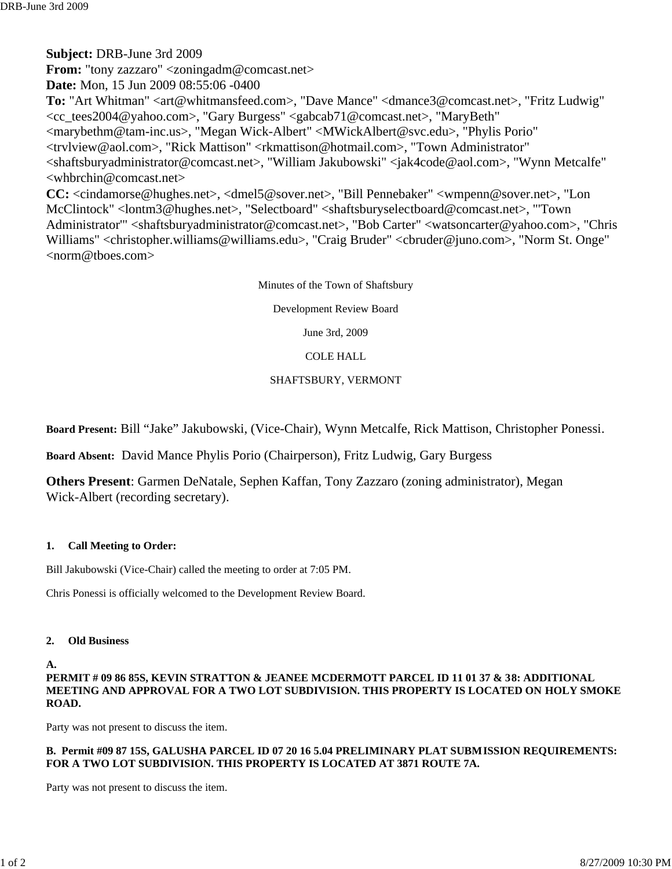Minutes of the Town of Shaftsbury

### Development Review Board

June 3rd, 2009

# COLE HALL

# SHAFTSBURY, VERMONT

**Board Present:** Bill "Jake" Jakubowski, (Vice-Chair), Wynn Metcalfe, Rick Mattison, Christopher Ponessi.

**Board Absent:** David Mance Phylis Porio (Chairperson), Fritz Ludwig, Gary Burgess

**Others Present**: Garmen DeNatale, Sephen Kaffan, Tony Zazzaro (zoning administrator), Megan Wick-Albert (recording secretary).

# **1. Call Meeting to Order:**

Bill Jakubowski (Vice-Chair) called the meeting to order at 7:05 PM.

Chris Ponessi is officially welcomed to the Development Review Board.

## **2. Old Business**

# **A.**

# **PERMIT # 09 86 85S, KEVIN STRATTON & JEANEE MCDERMOTT PARCEL ID 11 01 37 & 38: ADDITIONAL MEETING AND APPROVAL FOR A TWO LOT SUBDIVISION. THIS PROPERTY IS LOCATED ON HOLY SMOKE ROAD.**

Party was not present to discuss the item.

# **B. Permit #09 87 15S, GALUSHA PARCEL ID 07 20 16 5.04 PRELIMINARY PLAT SUBMISSION REQUIREMENTS: FOR A TWO LOT SUBDIVISION. THIS PROPERTY IS LOCATED AT 3871 ROUTE 7A.**

Party was not present to discuss the item.